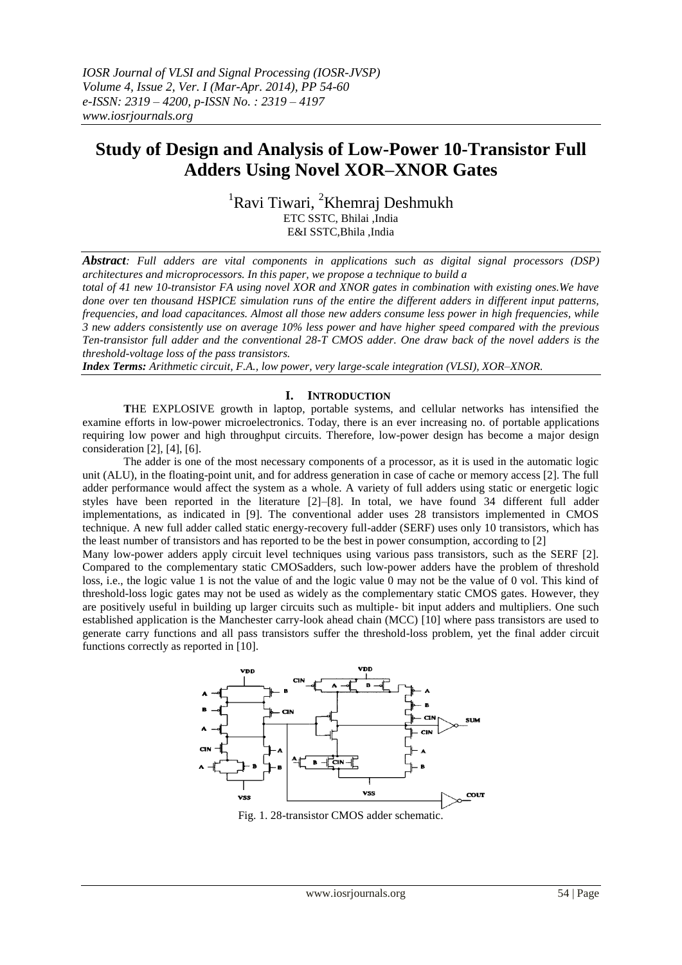# **Study of Design and Analysis of Low-Power 10-Transistor Full Adders Using Novel XOR–XNOR Gates**

<sup>1</sup>Ravi Tiwari, <sup>2</sup>Khemraj Deshmukh ETC SSTC, Bhilai ,India E&I SSTC,Bhila ,India

*Abstract: Full adders are vital components in applications such as digital signal processors (DSP) architectures and microprocessors. In this paper, we propose a technique to build a*

*total of 41 new 10-transistor FA using novel XOR and XNOR gates in combination with existing ones.We have done over ten thousand HSPICE simulation runs of the entire the different adders in different input patterns, frequencies, and load capacitances. Almost all those new adders consume less power in high frequencies, while 3 new adders consistently use on average 10% less power and have higher speed compared with the previous Ten-transistor full adder and the conventional 28-T CMOS adder. One draw back of the novel adders is the threshold-voltage loss of the pass transistors.*

*Index Terms: Arithmetic circuit, F.A., low power, very large-scale integration (VLSI), XOR–XNOR.*

#### **I. INTRODUCTION**

**T**HE EXPLOSIVE growth in laptop, portable systems, and cellular networks has intensified the examine efforts in low-power microelectronics. Today, there is an ever increasing no. of portable applications requiring low power and high throughput circuits. Therefore, low-power design has become a major design consideration [2], [4], [6].

The adder is one of the most necessary components of a processor, as it is used in the automatic logic unit (ALU), in the floating-point unit, and for address generation in case of cache or memory access [2]. The full adder performance would affect the system as a whole. A variety of full adders using static or energetic logic styles have been reported in the literature [2]–[8]. In total, we have found 34 different full adder implementations, as indicated in [9]. The conventional adder uses 28 transistors implemented in CMOS technique. A new full adder called static energy-recovery full-adder (SERF) uses only 10 transistors, which has the least number of transistors and has reported to be the best in power consumption, according to [2]

Many low-power adders apply circuit level techniques using various pass transistors, such as the SERF [2]. Compared to the complementary static CMOSadders, such low-power adders have the problem of threshold loss, i.e., the logic value 1 is not the value of and the logic value 0 may not be the value of 0 vol. This kind of threshold-loss logic gates may not be used as widely as the complementary static CMOS gates. However, they are positively useful in building up larger circuits such as multiple- bit input adders and multipliers. One such established application is the Manchester carry-look ahead chain (MCC) [10] where pass transistors are used to generate carry functions and all pass transistors suffer the threshold-loss problem, yet the final adder circuit functions correctly as reported in [10].



Fig. 1. 28-transistor CMOS adder schematic.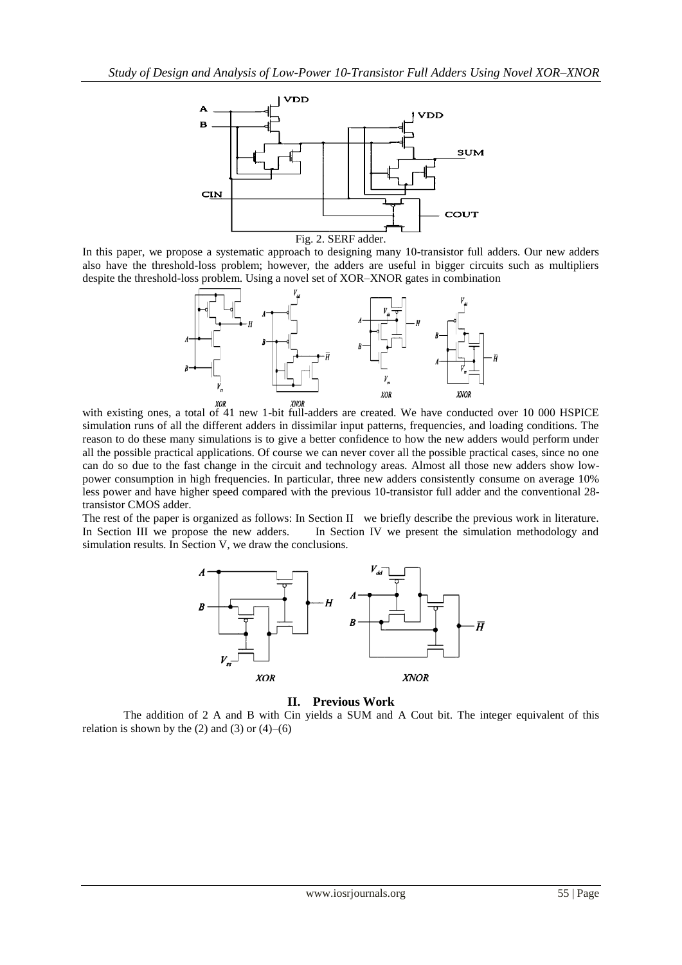

In this paper, we propose a systematic approach to designing many 10-transistor full adders. Our new adders also have the threshold-loss problem; however, the adders are useful in bigger circuits such as multipliers despite the threshold-loss problem. Using a novel set of XOR–XNOR gates in combination



with existing ones, a total of 41 new 1-bit full-adders are created. We have conducted over 10 000 HSPICE simulation runs of all the different adders in dissimilar input patterns, frequencies, and loading conditions. The reason to do these many simulations is to give a better confidence to how the new adders would perform under all the possible practical applications. Of course we can never cover all the possible practical cases, since no one can do so due to the fast change in the circuit and technology areas. Almost all those new adders show lowpower consumption in high frequencies. In particular, three new adders consistently consume on average 10% less power and have higher speed compared with the previous 10-transistor full adder and the conventional 28 transistor CMOS adder.

The rest of the paper is organized as follows: In Section II we briefly describe the previous work in literature. In Section III we propose the new adders. In Section IV we present the simulation methodology and simulation results. In Section V, we draw the conclusions.



**II. Previous Work**

The addition of 2 A and B with Cin yields a SUM and A Cout bit. The integer equivalent of this relation is shown by the  $(2)$  and  $(3)$  or  $(4)$ – $(6)$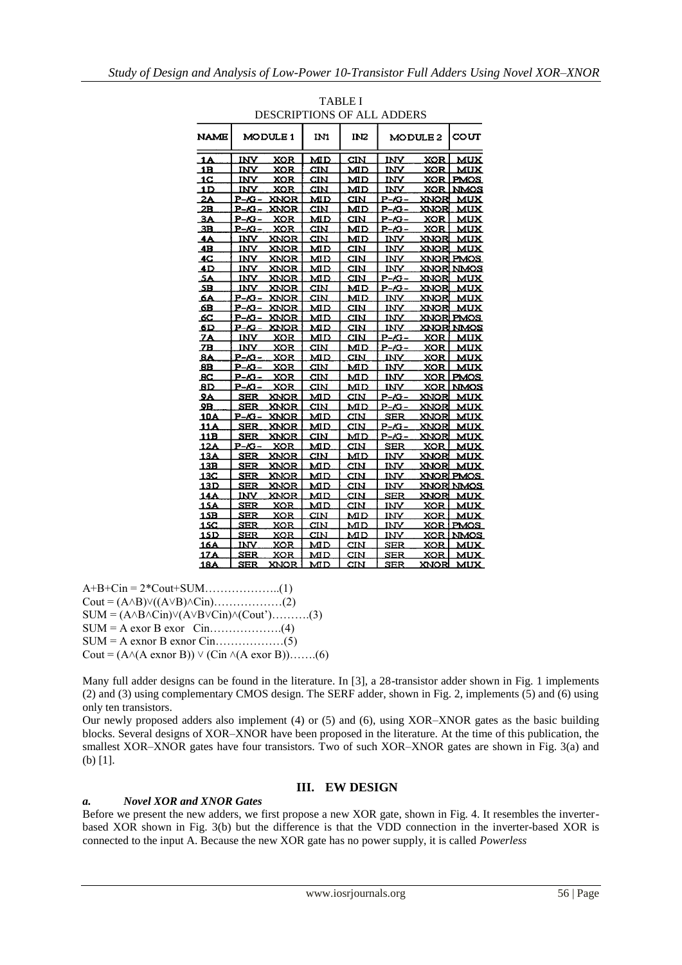|                 |                     | DESCRIPTIONS OF ALL ADDERS |                         |                                    |               |            |                  |
|-----------------|---------------------|----------------------------|-------------------------|------------------------------------|---------------|------------|------------------|
| <b>NAME</b>     |                     | MODULE 1                   | IN1                     | IN <sub>2</sub>                    | MODULE 2      |            | COUT             |
| .1A             | INV                 | <b>XOR</b>                 | МD                      | CIN                                | INV           | XOR        | MUX              |
| 1B              | INV                 | XOR                        | $\overline{\text{CIN}}$ | MD                                 | INV           | XOR        | MUX              |
| 1 <sup>C</sup>  | INV                 | XOR                        | CIN                     | MD                                 | INV.          | XOR        | <b>PMOS</b>      |
| 1D              | INV                 | XOR                        | CIN                     | MD                                 | INV           | XOR        | <b>NMOS</b>      |
| 2A              | P-A3-               | XNOR                       | МD                      | CIN                                | P-/G-         | XNOR       | MUX              |
| 2B              | P-KI –              | XNOR                       | CIN                     | MD                                 | $P - CG -$    | XNOR       | MUX              |
| 3A              | P-K+-               | XOR                        | MD                      | CIN                                | <u>P-G-</u>   | XOR        | MUX              |
| 3B              | $P - \mathcal{K}$   | XOR                        | CIN                     | MD                                 | $P - CG -$    | XQR        | <b>MUX</b>       |
| 4Α              | INV                 | XNOR                       | CIN                     | мD                                 | INV           | XNOR       | MUX              |
| 4B              | INV                 | XNOR                       | MD                      | $\overline{\rm c}\overline{\rm m}$ | INV           | XNOR       | MUX              |
| 4C              | <u>INV</u>          | XNOR                       | мp                      | CIN                                | <b>INV</b>    |            | XNORI PMOS       |
| 4 D             | <u>INV</u>          | XNOR                       | MD                      | <b>CIN</b>                         | INV           |            | XNORI NMOS       |
| 5A              | INV                 | XNOR                       | MD                      | CIN                                | P-K -         | XNOR       | <b>MUX</b>       |
| $\overline{AB}$ | INV.                | XNOR                       | CIN                     | MD                                 | $P - G -$     | XNOR       | <b>MUX</b>       |
| هک              | <u>P-K+</u>         | XNOR                       | CIN                     | мD                                 | INV           | XNOR       | MUX              |
| 6B              | <u>P-K+ – </u>      | XNOR                       | МD                      | CIN                                | INV           | XNOR       | <b>MUX</b>       |
| 6C              | $P - G -$           | XNOR                       | мÞ                      | CIN                                | INV           |            | XNORI PMOS       |
| 6D              | P-K-                | XNOR                       | мD                      | CIN                                | INV.          |            | <b>XNOR NMOS</b> |
| 2A              | <u>INV</u>          | <b>XOR</b>                 | МD                      | CIM                                | P-KI-         | <b>XOR</b> | MUX              |
| 2B              | INV                 | XOR                        | CIN                     | MD                                 | <u>P-/G-</u>  | XOR        | MUX              |
| <u>8A</u>       | <u>P-K+</u>         | XOR                        | MD                      | CIN                                | INV           | XOR        | MUX              |
| 8B.             | $P - \mathcal{K}$ - | XOR                        | CIN                     | MD                                 | INV           | XOR        | <b>MUX</b>       |
| <u>sc</u>       | <u>P-Ki-</u>        | XOR                        | CIN                     | MD                                 | INV           | XOR        | <b>PMOS</b>      |
| 8D              | <u>P-/G-</u>        | XOR                        | $\overline{\text{CIN}}$ | MD                                 | INV           | XOR        | <b>NMOS</b>      |
| 9Α              | <b>SER</b>          | XNOR                       | MD                      | CIN                                | P-/G-         | XNOR       | <b>MUX</b>       |
| 9В.             | SER                 | XNOR                       | $\overline{\text{CIN}}$ | MD                                 | P-/G –        | XNOR       | MUX              |
| 10A             | P-G-                | XNOR                       | MD                      | CIN                                | SER           | XNOR       | MUX              |
| <u> 11 A</u>    | SER                 | XNOR                       | MD                      | CIN                                | $P - CG -$    | XNOR       | MUX              |
| 11B             | SER                 | XNOR                       | CIN                     | мp                                 | P-/G-         | XNOR       | <b>MUX</b>       |
| 12A             | <u>P-Ki-</u>        | XOR                        | MD                      | $\text{CIN}$                       | <b>SER</b>    | <b>XOR</b> | <b>MUX</b>       |
| 13A             | SER                 | XNOR                       | CIN                     | MD                                 | INV           | XNOR       | <b>MUX</b>       |
| 13B             | $_{\rm{SER}}$       | XNOR                       | MD                      | CIN                                | INV           | XNOR       | <b>MUX</b>       |
| 13C             | SER                 | XNOR                       | MD                      | CIN                                | INV           |            | XNORI PMOS       |
| 13D             | SER                 | XNOR                       | МD                      | $\texttt{CIN}$                     | INV           |            | XNORI NMOS       |
| 14A             | INV                 | XNOR                       | MD                      | CIN                                | $_{\rm{SER}}$ | XNOR       | MUX              |
| 15A             | SER                 | XOR                        | MD                      | CIN                                | INV           | XOR        | <b>MUX</b>       |
| 15B             | SER                 | XOR                        | CIN                     | MD                                 | INV           | XOR        | <b>MUX</b>       |
| <u> 15C </u>    | <b>SER</b>          | XOR                        | $\texttt{CIN}$          | MD                                 | INV           | XOR        | <b>PMOS</b>      |
| <u>15D</u>      | <b>SER</b>          | XOR                        | CIN                     | МD                                 | <u>INV</u>    | XOR        | <b>NMOS</b>      |
| 16A             | INV                 | XOR                        | MD                      | $\overline{\rm c}\rm{IN}$          | SER           | XOR        | MUX              |
| 17A             | SER                 | XOR                        | MD                      | CIN                                | SER           | XOR        | <b>MUX</b>       |
| <u> 18A</u>     | <b>SER</b>          | XNOR                       | MD                      | CIN                                | $_{\rm{SER}}$ | XNOR       | MUX              |

| <b>TABLE I</b>             |
|----------------------------|
| DESCRIPTIONS OF ALL ADDERS |

A+B+Cin = 2\*Cout+SUM………………..(1)  $Cout = (A \land B) \lor ((A \lor B) \land Cin)$ ………………(2)  $SUM = (A \land B \land Cin) \lor (A \lor B \lor Cin) \land (Cout') \dots (3)$ SUM = A exor B exor Cin……………….(4) SUM = A exnor B exnor Cin………………(5) Cout =  $(A \land (A \text{ exon } B)) \lor (C \text{in } \land (A \text{ exon } B))$ …….(6)

Many full adder designs can be found in the literature. In [3], a 28-transistor adder shown in Fig. 1 implements (2) and (3) using complementary CMOS design. The SERF adder, shown in Fig. 2, implements (5) and (6) using only ten transistors.

Our newly proposed adders also implement (4) or (5) and (6), using XOR–XNOR gates as the basic building blocks. Several designs of XOR–XNOR have been proposed in the literature. At the time of this publication, the smallest XOR–XNOR gates have four transistors. Two of such XOR–XNOR gates are shown in Fig. 3(a) and (b) [1].

# **III. EW DESIGN**

### *a. Novel XOR and XNOR Gates*

Before we present the new adders, we first propose a new XOR gate, shown in Fig. 4. It resembles the inverterbased XOR shown in Fig. 3(b) but the difference is that the VDD connection in the inverter-based XOR is connected to the input A. Because the new XOR gate has no power supply, it is called *Powerless*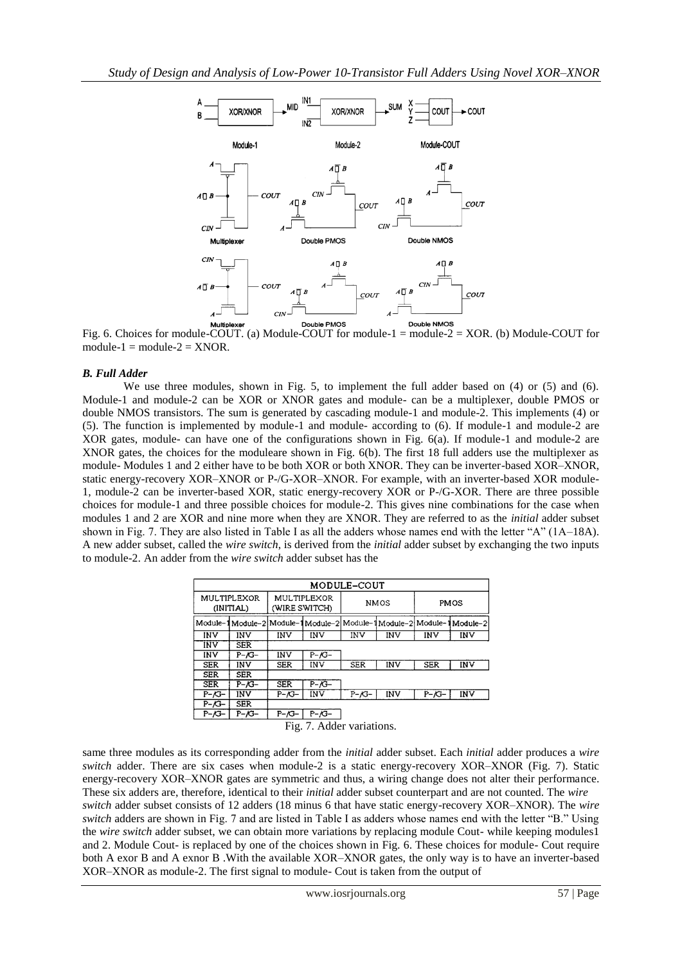

Fig. 6. Choices for module-COUT. (a) Module-COUT for module- $1 =$  module- $2 = XOR$ . (b) Module-COUT for module- $1 =$  module- $2 =$  XNOR.

# *B. Full Adder*

We use three modules, shown in Fig. 5, to implement the full adder based on (4) or (5) and (6). Module-1 and module-2 can be XOR or XNOR gates and module- can be a multiplexer, double PMOS or double NMOS transistors. The sum is generated by cascading module-1 and module-2. This implements (4) or (5). The function is implemented by module-1 and module- according to (6). If module-1 and module-2 are XOR gates, module- can have one of the configurations shown in Fig. 6(a). If module-1 and module-2 are XNOR gates, the choices for the moduleare shown in Fig. 6(b). The first 18 full adders use the multiplexer as module- Modules 1 and 2 either have to be both XOR or both XNOR. They can be inverter-based XOR–XNOR, static energy-recovery XOR–XNOR or P-/G-XOR–XNOR. For example, with an inverter-based XOR module-1, module-2 can be inverter-based XOR, static energy-recovery XOR or P-/G-XOR. There are three possible choices for module-1 and three possible choices for module-2. This gives nine combinations for the case when modules 1 and 2 are XOR and nine more when they are XNOR. They are referred to as the *initial* adder subset shown in Fig. 7. They are also listed in Table I as all the adders whose names end with the letter "A" (1A–18A). A new adder subset, called the *wire switch*, is derived from the *initial* adder subset by exchanging the two inputs to module-2. An adder from the *wire switch* adder subset has the

| MODULE-COUT                       |                |                              |            |                     |     |            |                                                                     |  |  |  |
|-----------------------------------|----------------|------------------------------|------------|---------------------|-----|------------|---------------------------------------------------------------------|--|--|--|
| MULTIPLEXOR<br>(INITIAL)          |                | MULTIPLEXOR<br>(WIRE SWITCH) |            | <b>NMOS</b>         |     | PMOS       |                                                                     |  |  |  |
|                                   |                |                              |            |                     |     |            | Module-1Module-2 Module-1Module-2 Module-1Module-2 Module-1Module-2 |  |  |  |
| <b>INV</b>                        | INV            | INV                          | INV        | INV                 | INV | INV        | INV                                                                 |  |  |  |
| INV                               | <b>SER</b>     |                              |            |                     |     |            |                                                                     |  |  |  |
| INV                               | $P - /G -$     | INV                          | $P - /G -$ |                     |     |            |                                                                     |  |  |  |
| <b>SER</b>                        | INV            | <b>SER</b>                   | INV        | <b>SER</b>          | INV | <b>SER</b> | IN∨                                                                 |  |  |  |
| <b>SER</b>                        | SER            |                              |            |                     |     |            |                                                                     |  |  |  |
| <b>SER</b>                        | $P - /G -$     | <b>SER</b>                   | $P - /G -$ |                     |     |            |                                                                     |  |  |  |
| $P - /G -$                        | <b>INV</b>     | P-/G-                        | INV        | $P - \mathcal{K}$ - | INV | $P - /G -$ | INV                                                                 |  |  |  |
| $P - /G -$                        | <b>SER</b>     |                              |            |                     |     |            |                                                                     |  |  |  |
| $P - \mathcal{G}$                 | $P-\diagup G-$ | $P - /G -$                   | $P - /G -$ |                     |     |            |                                                                     |  |  |  |
| $\mathbf{E}$ ig 7 Adderweristiens |                |                              |            |                     |     |            |                                                                     |  |  |  |

Fig. 7. Adder variations.

same three modules as its corresponding adder from the *initial* adder subset. Each *initial* adder produces a *wire switch* adder. There are six cases when module-2 is a static energy-recovery XOR–XNOR (Fig. 7). Static energy-recovery XOR–XNOR gates are symmetric and thus, a wiring change does not alter their performance. These six adders are, therefore, identical to their *initial* adder subset counterpart and are not counted. The *wire switch* adder subset consists of 12 adders (18 minus 6 that have static energy-recovery XOR–XNOR). The *wire switch* adders are shown in Fig. 7 and are listed in Table I as adders whose names end with the letter "B." Using the *wire switch* adder subset, we can obtain more variations by replacing module Cout- while keeping modules1 and 2. Module Cout- is replaced by one of the choices shown in Fig. 6. These choices for module- Cout require both A exor B and A exnor B .With the available XOR–XNOR gates, the only way is to have an inverter-based XOR–XNOR as module-2. The first signal to module- Cout is taken from the output of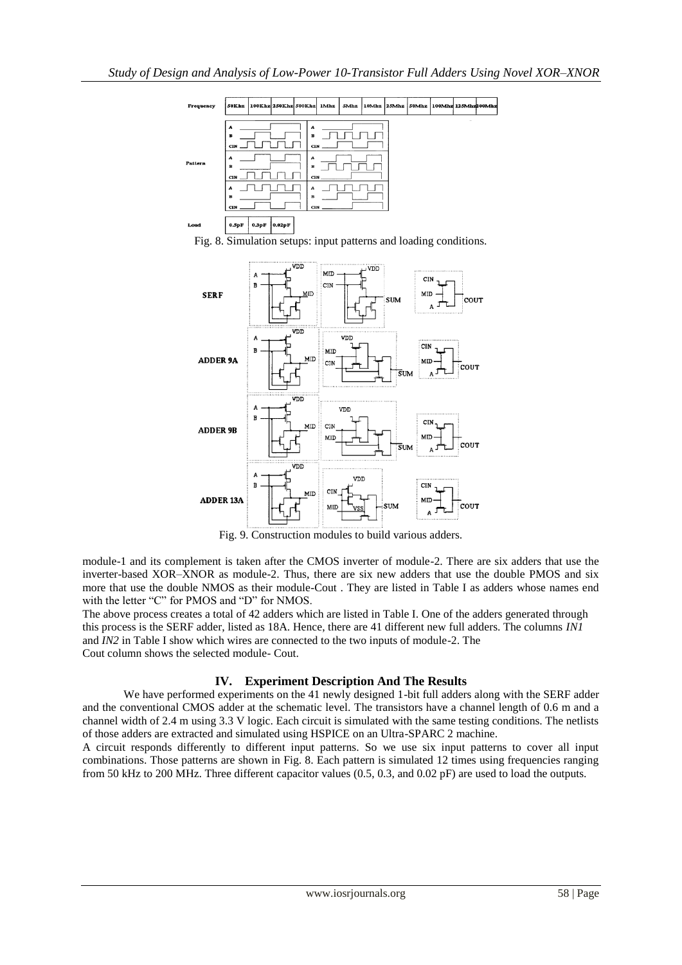

Fig. 8. Simulation setups: input patterns and loading conditions.



Fig. 9. Construction modules to build various adders.

module-1 and its complement is taken after the CMOS inverter of module-2. There are six adders that use the inverter-based XOR–XNOR as module-2. Thus, there are six new adders that use the double PMOS and six more that use the double NMOS as their module-Cout . They are listed in Table I as adders whose names end with the letter "C" for PMOS and "D" for NMOS.

The above process creates a total of 42 adders which are listed in Table I. One of the adders generated through this process is the SERF adder, listed as 18A. Hence, there are 41 different new full adders. The columns *IN1*  and *IN2* in Table I show which wires are connected to the two inputs of module-2. The Cout column shows the selected module- Cout.

# **IV. Experiment Description And The Results**

We have performed experiments on the 41 newly designed 1-bit full adders along with the SERF adder and the conventional CMOS adder at the schematic level. The transistors have a channel length of 0.6 m and a channel width of 2.4 m using 3.3 V logic. Each circuit is simulated with the same testing conditions. The netlists of those adders are extracted and simulated using HSPICE on an Ultra-SPARC 2 machine.

A circuit responds differently to different input patterns. So we use six input patterns to cover all input combinations. Those patterns are shown in Fig. 8. Each pattern is simulated 12 times using frequencies ranging from 50 kHz to 200 MHz. Three different capacitor values (0.5, 0.3, and 0.02 pF) are used to load the outputs.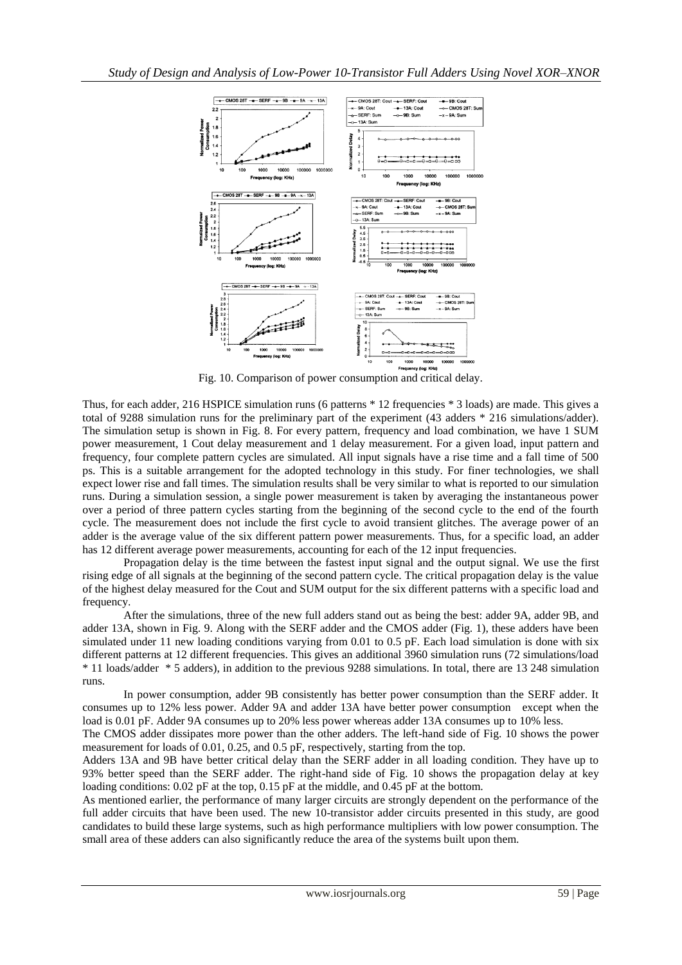

Fig. 10. Comparison of power consumption and critical delay.

Thus, for each adder, 216 HSPICE simulation runs (6 patterns \* 12 frequencies \* 3 loads) are made. This gives a total of 9288 simulation runs for the preliminary part of the experiment (43 adders \* 216 simulations/adder). The simulation setup is shown in Fig. 8. For every pattern, frequency and load combination, we have 1 SUM power measurement, 1 Cout delay measurement and 1 delay measurement. For a given load, input pattern and frequency, four complete pattern cycles are simulated. All input signals have a rise time and a fall time of 500 ps. This is a suitable arrangement for the adopted technology in this study. For finer technologies, we shall expect lower rise and fall times. The simulation results shall be very similar to what is reported to our simulation runs. During a simulation session, a single power measurement is taken by averaging the instantaneous power over a period of three pattern cycles starting from the beginning of the second cycle to the end of the fourth cycle. The measurement does not include the first cycle to avoid transient glitches. The average power of an adder is the average value of the six different pattern power measurements. Thus, for a specific load, an adder has 12 different average power measurements, accounting for each of the 12 input frequencies.

Propagation delay is the time between the fastest input signal and the output signal. We use the first rising edge of all signals at the beginning of the second pattern cycle. The critical propagation delay is the value of the highest delay measured for the Cout and SUM output for the six different patterns with a specific load and frequency.

After the simulations, three of the new full adders stand out as being the best: adder 9A, adder 9B, and adder 13A, shown in Fig. 9. Along with the SERF adder and the CMOS adder (Fig. 1), these adders have been simulated under 11 new loading conditions varying from 0.01 to 0.5 pF. Each load simulation is done with six different patterns at 12 different frequencies. This gives an additional 3960 simulation runs (72 simulations/load \* 11 loads/adder \* 5 adders), in addition to the previous 9288 simulations. In total, there are 13 248 simulation runs.

In power consumption, adder 9B consistently has better power consumption than the SERF adder. It consumes up to 12% less power. Adder 9A and adder 13A have better power consumption except when the load is 0.01 pF. Adder 9A consumes up to 20% less power whereas adder 13A consumes up to 10% less.

The CMOS adder dissipates more power than the other adders. The left-hand side of Fig. 10 shows the power measurement for loads of 0.01, 0.25, and 0.5 pF, respectively, starting from the top.

Adders 13A and 9B have better critical delay than the SERF adder in all loading condition. They have up to 93% better speed than the SERF adder. The right-hand side of Fig. 10 shows the propagation delay at key loading conditions: 0.02 pF at the top, 0.15 pF at the middle, and 0.45 pF at the bottom.

As mentioned earlier, the performance of many larger circuits are strongly dependent on the performance of the full adder circuits that have been used. The new 10-transistor adder circuits presented in this study, are good candidates to build these large systems, such as high performance multipliers with low power consumption. The small area of these adders can also significantly reduce the area of the systems built upon them.